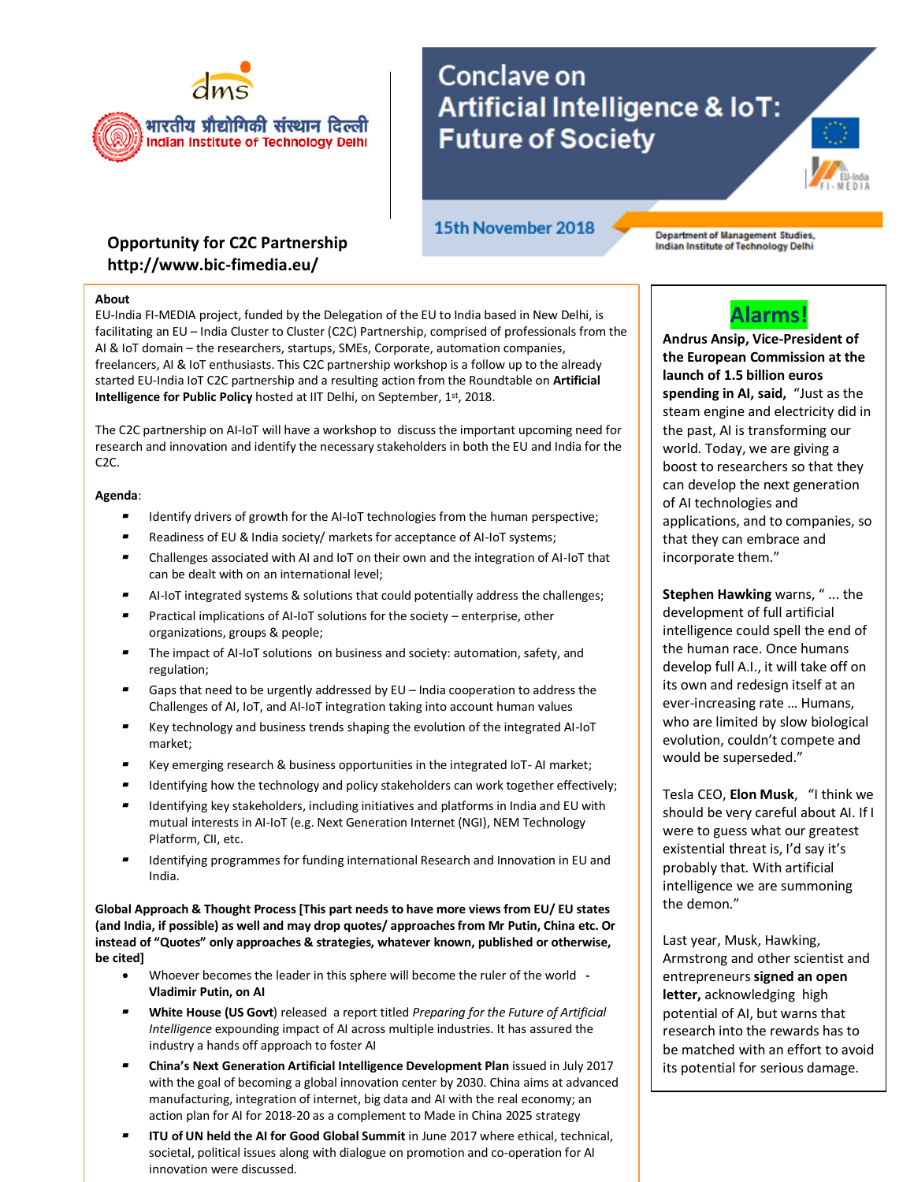

## **Opportunity for C2C Partnership http://www.bic-fimedia.eu/**

15th November 2018

Conclave on

**Future of Society** 

Artificial Intelligence & loT:

Department of Management Studies,<br>Indian Institute of Technology Delhi

## **About**

EU-India FI-MEDIA project, funded by the Delegation of the EU to India based in New Delhi, is facilitating an EU – India Cluster to Cluster (C2C) Partnership, comprised of professionals from the AI & IoT domain – the researchers, startups, SMEs, Corporate, automation companies, freelancers, AI & IoT enthusiasts. This C2C partnership workshop is a follow up to the already started EU-India IoT C2C partnership and a resulting action from the Roundtable on **Artificial Intelligence for Public Policy** hosted at IIT Delhi, on September, 1st, 2018.

The C2C partnership on AI-IoT will have a workshop to discuss the important upcoming need for research and innovation and identify the necessary stakeholders in both the EU and India for the C2C.

**Agenda**:

- Identify drivers of growth for the AI-IoT technologies from the human perspective;
- Readiness of EU & India society/ markets for acceptance of AI-IoT systems;
- Challenges associated with AI and IoT on their own and the integration of AI-IoT that can be dealt with on an international level;
- AI-IoT integrated systems & solutions that could potentially address the challenges;
- Practical implications of AI-IoT solutions for the society enterprise, other organizations, groups & people;
- The impact of AI-IoT solutions on business and society: automation, safety, and regulation;
- Gaps that need to be urgently addressed by EU India cooperation to address the Challenges of AI, IoT, and AI-IoT integration taking into account human values
- Key technology and business trends shaping the evolution of the integrated AI-IoT market;
- Key emerging research & business opportunities in the integrated IoT-AI market;
- Identifying how the technology and policy stakeholders can work together effectively;
- Identifying key stakeholders, including initiatives and platforms in India and EU with mutual interests in AI-IoT (e.g. Next Generation Internet (NGI), NEM Technology Platform, CII, etc.
- ▰ Identifying programmes for funding international Research and Innovation in EU and India.

**Global Approach & Thought Process [This part needs to have more views from EU/ EU states (and India, if possible) as well and may drop quotes/ approaches from Mr Putin, China etc. Or instead of "Quotes" only approaches & strategies, whatever known, published or otherwise, be cited]**

- Whoever becomes the leader in this sphere will become the ruler of the world **- Vladimir Putin, on AI**
- ▰ **White House (US Govt**) released a report titled *Preparing for the Future of Artificial Intelligence* expounding impact of AI across multiple industries. It has assured the industry a hands off approach to foster AI
- ▰ **China's Next Generation Artificial Intelligence Development Plan** issued in July 2017 with the goal of becoming a global innovation center by 2030. China aims at advanced manufacturing, integration of internet, big data and AI with the real economy; an action plan for AI for 2018-20 as a complement to Made in China 2025 strategy
- **ITU of UN held the AI for Good Global Summit** in June 2017 where ethical, technical, societal, political issues along with dialogue on promotion and co-operation for AI innovation were discussed.



**Andrus Ansip, Vice-President of the European Commission at the launch of 1.5 billion euros spending in AI, said,** "Just as the steam engine and electricity did in the past, AI is transforming our world. Today, we are giving a boost to researchers so that they can develop the next generation of AI technologies and applications, and to companies, so that they can embrace and incorporate them."

**Stephen Hawking** warns, " ... the development of full artificial intelligence could spell the end of the human race. Once humans develop full A.I., it will take off on its own and redesign itself at an ever-increasing rate … Humans, who are limited by slow biological evolution, couldn't compete and would be superseded."

Tesla CEO, **Elon Musk**, "I think we should be very careful about AI. If I were to guess what our greatest existential threat is, I'd say it's probably that. With artificial intelligence we are summoning the demon."

Last year, Musk, Hawking, Armstrong and other scientist and entrepreneurs **signed an open letter,** acknowledging high potential of AI, but warns that research into the rewards has to be matched with an effort to avoid its potential for serious damage.